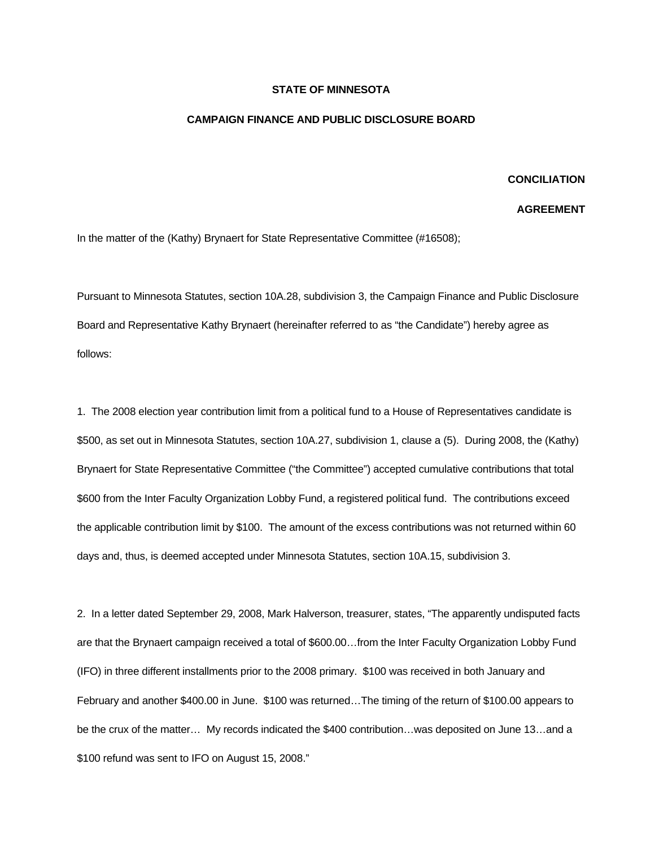## **STATE OF MINNESOTA**

## **CAMPAIGN FINANCE AND PUBLIC DISCLOSURE BOARD**

## **CONCILIATION**

## **AGREEMENT**

In the matter of the (Kathy) Brynaert for State Representative Committee (#16508);

Pursuant to Minnesota Statutes, section 10A.28, subdivision 3, the Campaign Finance and Public Disclosure Board and Representative Kathy Brynaert (hereinafter referred to as "the Candidate") hereby agree as follows:

1. The 2008 election year contribution limit from a political fund to a House of Representatives candidate is \$500, as set out in Minnesota Statutes, section 10A.27, subdivision 1, clause a (5). During 2008, the (Kathy) Brynaert for State Representative Committee ("the Committee") accepted cumulative contributions that total \$600 from the Inter Faculty Organization Lobby Fund, a registered political fund. The contributions exceed the applicable contribution limit by \$100. The amount of the excess contributions was not returned within 60 days and, thus, is deemed accepted under Minnesota Statutes, section 10A.15, subdivision 3.

2. In a letter dated September 29, 2008, Mark Halverson, treasurer, states, "The apparently undisputed facts are that the Brynaert campaign received a total of \$600.00…from the Inter Faculty Organization Lobby Fund (IFO) in three different installments prior to the 2008 primary. \$100 was received in both January and February and another \$400.00 in June. \$100 was returned…The timing of the return of \$100.00 appears to be the crux of the matter… My records indicated the \$400 contribution…was deposited on June 13…and a \$100 refund was sent to IFO on August 15, 2008."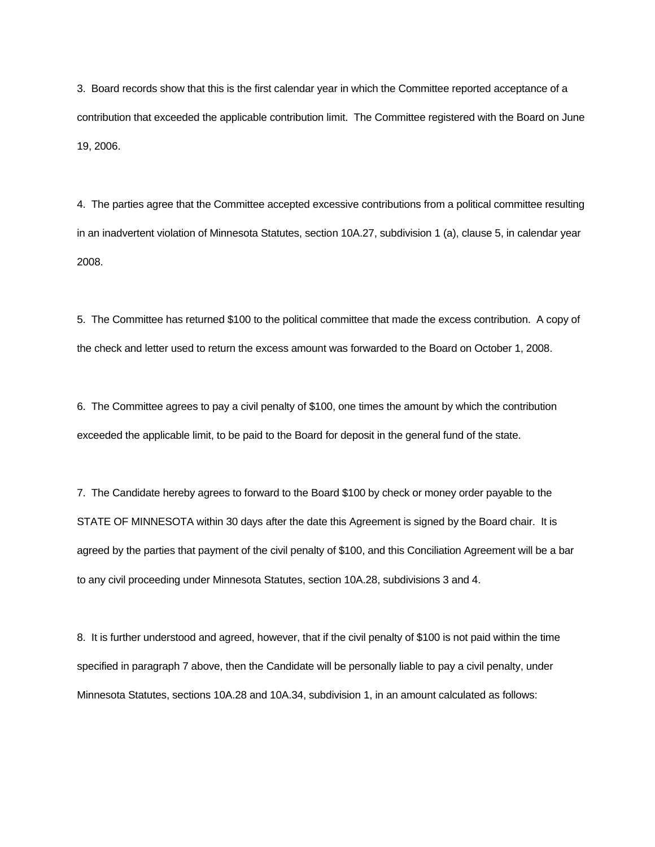3. Board records show that this is the first calendar year in which the Committee reported acceptance of a contribution that exceeded the applicable contribution limit. The Committee registered with the Board on June 19, 2006.

4. The parties agree that the Committee accepted excessive contributions from a political committee resulting in an inadvertent violation of Minnesota Statutes, section 10A.27, subdivision 1 (a), clause 5, in calendar year 2008.

5. The Committee has returned \$100 to the political committee that made the excess contribution. A copy of the check and letter used to return the excess amount was forwarded to the Board on October 1, 2008.

6. The Committee agrees to pay a civil penalty of \$100, one times the amount by which the contribution exceeded the applicable limit, to be paid to the Board for deposit in the general fund of the state.

7. The Candidate hereby agrees to forward to the Board \$100 by check or money order payable to the STATE OF MINNESOTA within 30 days after the date this Agreement is signed by the Board chair. It is agreed by the parties that payment of the civil penalty of \$100, and this Conciliation Agreement will be a bar to any civil proceeding under Minnesota Statutes, section 10A.28, subdivisions 3 and 4.

8. It is further understood and agreed, however, that if the civil penalty of \$100 is not paid within the time specified in paragraph 7 above, then the Candidate will be personally liable to pay a civil penalty, under Minnesota Statutes, sections 10A.28 and 10A.34, subdivision 1, in an amount calculated as follows: